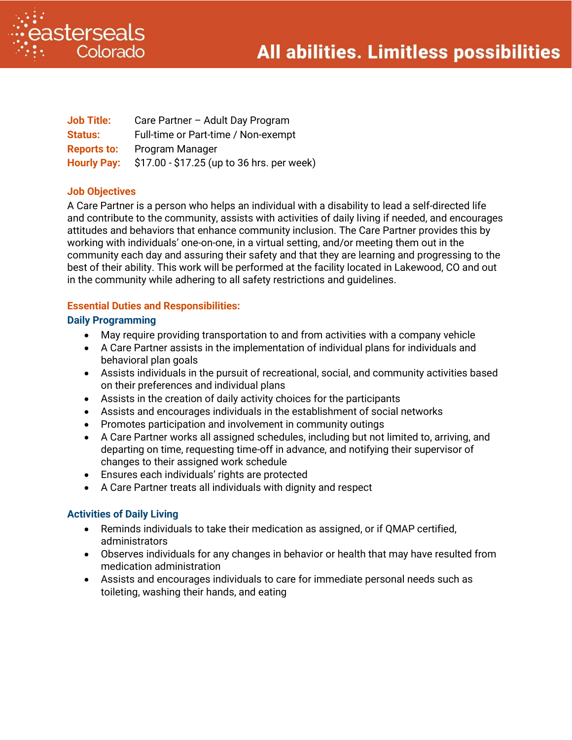



| <b>Job Title:</b>  | Care Partner - Adult Day Program           |
|--------------------|--------------------------------------------|
| <b>Status:</b>     | Full-time or Part-time / Non-exempt        |
| <b>Reports to:</b> | Program Manager                            |
| <b>Hourly Pay:</b> | \$17.00 - \$17.25 (up to 36 hrs. per week) |

# **Job Objectives**

A Care Partner is a person who helps an individual with a disability to lead a self-directed life and contribute to the community, assists with activities of daily living if needed, and encourages attitudes and behaviors that enhance community inclusion. The Care Partner provides this by working with individuals' one-on-one, in a virtual setting, and/or meeting them out in the community each day and assuring their safety and that they are learning and progressing to the best of their ability. This work will be performed at the facility located in Lakewood, CO and out in the community while adhering to all safety restrictions and guidelines.

# **Essential Duties and Responsibilities:**

#### **Daily Programming**

- May require providing transportation to and from activities with a company vehicle
- A Care Partner assists in the implementation of individual plans for individuals and behavioral plan goals
- Assists individuals in the pursuit of recreational, social, and community activities based on their preferences and individual plans
- Assists in the creation of daily activity choices for the participants
- Assists and encourages individuals in the establishment of social networks
- Promotes participation and involvement in community outings
- A Care Partner works all assigned schedules, including but not limited to, arriving, and departing on time, requesting time-off in advance, and notifying their supervisor of changes to their assigned work schedule
- Ensures each individuals' rights are protected
- A Care Partner treats all individuals with dignity and respect

# **Activities of Daily Living**

- Reminds individuals to take their medication as assigned, or if QMAP certified, administrators
- Observes individuals for any changes in behavior or health that may have resulted from medication administration
- Assists and encourages individuals to care for immediate personal needs such as toileting, washing their hands, and eating